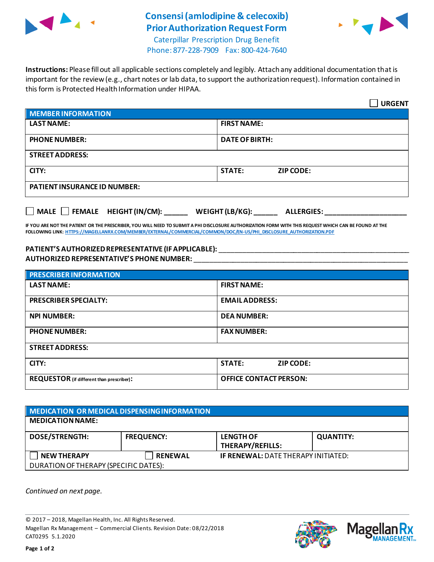

## **Consensi (amlodipine & celecoxib) Prior Authorization Request Form**



Caterpillar Prescription Drug Benefit Phone: 877-228-7909 Fax: 800-424-7640

**Instructions:** Please fill out all applicable sections completely and legibly. Attach any additional documentation that is important for the review (e.g., chart notes or lab data, to support the authorization request). Information contained in this form is Protected Health Information under HIPAA.

|                                                                                   | <b>URGENT</b>                     |  |  |
|-----------------------------------------------------------------------------------|-----------------------------------|--|--|
| <b>MEMBER INFORMATION</b>                                                         |                                   |  |  |
| <b>LAST NAME:</b>                                                                 | <b>FIRST NAME:</b>                |  |  |
| <b>PHONE NUMBER:</b>                                                              | <b>DATE OF BIRTH:</b>             |  |  |
| <b>STREET ADDRESS:</b>                                                            |                                   |  |  |
| CITY:                                                                             | <b>STATE:</b><br><b>ZIP CODE:</b> |  |  |
| <b>PATIENT INSURANCE ID NUMBER:</b>                                               |                                   |  |  |
| $\Box$ MALE $\Box$ FEMALE HEIGHT (IN/CM):<br>WEIGHT (LB/KG):<br><b>ALLERGIES:</b> |                                   |  |  |

**IF YOU ARE NOT THE PATIENT OR THE PRESCRIBER, YOU WILL NEED TO SUBMIT A PHI DISCLOSURE AUTHORIZATION FORM WITH THIS REQUEST WHICH CAN BE FOUND AT THE FOLLOWING LINK[: HTTPS://MAGELLANRX.COM/MEMBER/EXTERNAL/COMMERCIAL/COMMON/DOC/EN-US/PHI\\_DISCLOSURE\\_AUTHORIZATION.PDF](https://magellanrx.com/member/external/commercial/common/doc/en-us/PHI_Disclosure_Authorization.pdf)**

## **PATIENT'S AUTHORIZEDREPRESENTATIVE (IF APPLICABLE):** \_\_\_\_\_\_\_\_\_\_\_\_\_\_\_\_\_\_\_\_\_\_\_\_\_\_\_\_\_\_\_\_\_\_\_\_\_\_\_\_\_\_\_\_\_\_\_\_\_ **AUTHORIZED REPRESENTATIVE'S PHONE NUMBER:** \_\_\_\_\_\_\_\_\_\_\_\_\_\_\_\_\_\_\_\_\_\_\_\_\_\_\_\_\_\_\_\_\_\_\_\_\_\_\_\_\_\_\_\_\_\_\_\_\_\_\_\_\_\_\_

| <b>PRESCRIBER INFORMATION</b>             |                               |  |
|-------------------------------------------|-------------------------------|--|
| <b>LAST NAME:</b>                         | <b>FIRST NAME:</b>            |  |
| <b>PRESCRIBER SPECIALTY:</b>              | <b>EMAIL ADDRESS:</b>         |  |
| <b>NPI NUMBER:</b>                        | <b>DEA NUMBER:</b>            |  |
| <b>PHONE NUMBER:</b>                      | <b>FAX NUMBER:</b>            |  |
| <b>STREET ADDRESS:</b>                    |                               |  |
| CITY:                                     | <b>STATE:</b><br>ZIP CODE:    |  |
| REQUESTOR (if different than prescriber): | <b>OFFICE CONTACT PERSON:</b> |  |

| MEDICATION OR MEDICAL DISPENSING INFORMATION |                   |                                             |                  |  |  |
|----------------------------------------------|-------------------|---------------------------------------------|------------------|--|--|
| <b>MEDICATION NAME:</b>                      |                   |                                             |                  |  |  |
| <b>DOSE/STRENGTH:</b>                        | <b>FREQUENCY:</b> | <b>LENGTH OF</b><br><b>THERAPY/REFILLS:</b> | <b>QUANTITY:</b> |  |  |
| <b>NEW THERAPY</b>                           | <b>RENEWAL</b>    | <b>IF RENEWAL: DATE THERAPY INITIATED:</b>  |                  |  |  |
| DURATION OF THERAPY (SPECIFIC DATES):        |                   |                                             |                  |  |  |

*Continued on next page.*

© 2017 – 2018, Magellan Health, Inc. All Rights Reserved. Magellan Rx Management – Commercial Clients. Revision Date: 08/22/2018 CAT0295 5.1.2020